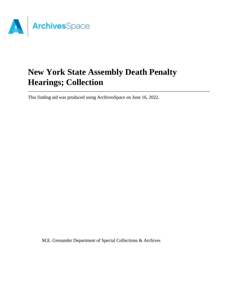

# **New York State Assembly Death Penalty Hearings; Collection**

This finding aid was produced using ArchivesSpace on June 16, 2022.

M.E. Grenander Department of Special Collections & Archives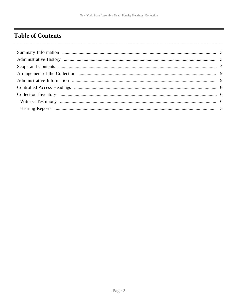# <span id="page-1-0"></span>**Table of Contents**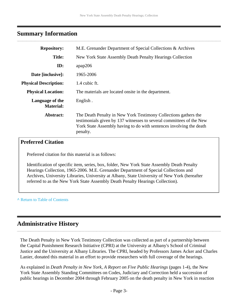# <span id="page-2-0"></span>**Summary Information**

| <b>Repository:</b>                  | M.E. Grenander Department of Special Collections & Archives                                                                                                                                                                |  |  |
|-------------------------------------|----------------------------------------------------------------------------------------------------------------------------------------------------------------------------------------------------------------------------|--|--|
| <b>Title:</b>                       | New York State Assembly Death Penalty Hearings Collection                                                                                                                                                                  |  |  |
| ID:                                 | apap206                                                                                                                                                                                                                    |  |  |
| Date [inclusive]:                   | 1965-2006                                                                                                                                                                                                                  |  |  |
| <b>Physical Description:</b>        | 1.4 cubic ft.                                                                                                                                                                                                              |  |  |
| <b>Physical Location:</b>           | The materials are located onsite in the department.                                                                                                                                                                        |  |  |
| Language of the<br><b>Material:</b> | English.                                                                                                                                                                                                                   |  |  |
| Abstract:                           | The Death Penalty in New York Testimony Collections gathers the<br>testimonials given by 137 witnesses to several committees of the New<br>York State Assembly having to do with sentences involving the death<br>penalty. |  |  |

### **Preferred Citation**

Preferred citation for this material is as follows:

Identification of specific item, series, box, folder, New York State Assembly Death Penalty Hearings Collection, 1965-2006. M.E. Grenander Department of Special Collections and Archives, University Libraries, University at Albany, State University of New York (hereafter referred to as the New York State Assembly Death Penalty Hearings Collection).

**^** [Return to Table of Contents](#page-1-0)

# <span id="page-2-1"></span>**Administrative History**

The Death Penalty in New York Testimony Collection was collected as part of a partnership between the Capital Punishment Research Initiative (CPRI) at the University at Albany's School of Criminal Justice and the University at Albany Libraries. The CPRI, headed by Professors James Acker and Charles Lanier, donated this material in an effort to provide researchers with full coverage of the hearings.

As explained in *Death Penalty in New York, A Report on Five Public Hearings* (pages 1-4), the New York State Assembly Standing Committees on Codes, Judiciary and Correction held a succession of public hearings in December 2004 through February 2005 on the death penalty in New York in reaction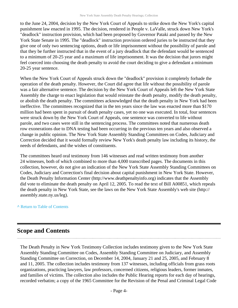to the June 24, 2004, decision by the New York Court of Appeals to strike down the New York's capital punishment law enacted in 1995. The decision, rendered in People v. LaValle, struck down New York's "deadlock" instruction provision, which had been proposed by Governor Pataki and passed by the New York State Senate in 1995. The "deadlock" instruction provision ordered juries to be instructed that they give one of only two sentencing options, death or life imprisonment without the possibility of parole and that they be further instructed that in the event of a jury deadlock that the defendant would be sentenced to a minimum of 20-25 year and a maximum of life imprisonment. It was the decision that jurors might feel coerced into choosing the death penalty to avoid the court deciding to give a defendant a minimum 20-25 year sentence.

When the New York Court of Appeals struck down the "deadlock" provision it completely forbade the operation of the death penalty. However, the Court did agree that life without the possibility of parole was a fair alternative sentence. The decision by the New York Court of Appeals left the New York State Assembly the charge to enact legislation that would reinstate the death penalty, modify the death penalty, or abolish the death penalty. The committees acknowledged that the death penalty in New York had been ineffective. The committees recognized that in the ten years since the law was enacted more than \$170 million had been spent in pursuit of death penalty cases, yet no one was executed. In total, four sentences were struck down by the New York Court of Appeals, one sentence was converted to life without parole, and two cases were still in the sentencing process. The committees noted that numerous death row exonerations due to DNA testing had been occurring in the previous ten years and also observed a change in public opinion. The New York State Assembly Standing Committees on Codes, Judiciary and Correction decided that it would formally review New York's death penalty law including its history, the needs of defendants, and the wishes of constituents.

The committees heard oral testimony from 146 witnesses and read written testimony from another 24 witnesses, both of which combined to more than 4,000 transcribed pages. The documents in this collection, however, do not give an indication of the New York State Assembly Standing Committees on Codes, Judiciary and Correction's final decision about capital punishment in New York State. However, the Death Penalty Information Center (http://www.deathpenaltyinfo.org) indicates that the Assembly did vote to eliminate the death penalty on April 12, 2005. To read the text of Bill A00851, which repeals the death penalty in New York State, see the laws on the New York State Assembly's web site (http:// assembly.state.ny.us/leg).

#### **^** [Return to Table of Contents](#page-1-0)

## <span id="page-3-0"></span>**Scope and Contents**

The Death Penalty in New York Testimony Collection includes testimony given to the New York State Assembly Standing Committee on Codes, Assembly Standing Committee on Judiciary, and Assembly Standing Committee on Correction, on December 14, 2004, January 21 and 25, 2005, and February 8 and 11, 2005. The collection includes testimony from 137 witnesses, including officials from grass roots organizations, practicing lawyers, law professors, concerned citizens, religious leaders, former inmates, and families of victims. The collection also includes the Public Hearing reports for each day of hearings, recorded verbatim; a copy of the 1965 Committee for the Revision of the Penal and Criminal Legal Code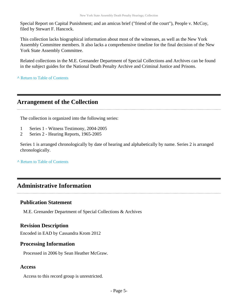Special Report on Capital Punishment; and an amicus brief ("friend of the court"), People v. McCoy, filed by Stewart F. Hancock.

This collection lacks biographical information about most of the witnesses, as well as the New York Assembly Committee members. It also lacks a comprehensive timeline for the final decision of the New York State Assembly Committee.

Related collections in the M.E. Grenander Department of Special Collections and Archives can be found in the subject guides for the National Death Penalty Archive and Criminal Justice and Prisons.

**^** [Return to Table of Contents](#page-1-0)

# <span id="page-4-0"></span>**Arrangement of the Collection**

The collection is organized into the following series:

- 1 Series 1 Witness Testimony, 2004-2005
- 2 Series 2 Hearing Reports, 1965-2005

Series 1 is arranged chronologically by date of hearing and alphabetically by name. Series 2 is arranged chronologically.

**^** [Return to Table of Contents](#page-1-0)

# <span id="page-4-1"></span>**Administrative Information**

### **Publication Statement**

M.E. Grenander Department of Special Collections & Archives

### **Revision Description**

Encoded in EAD by Cassandra Krom 2012

### **Processing Information**

Processed in 2006 by Sean Heather McGraw.

### **Access**

Access to this record group is unrestricted.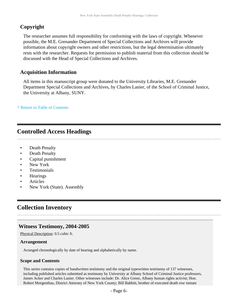### **Copyright**

The researcher assumes full responsibility for conforming with the laws of copyright. Whenever possible, the M.E. Grenander Department of Special Collections and Archives will provide information about copyright owners and other restrictions, but the legal determination ultimately rests with the researcher. Requests for permission to publish material from this collection should be discussed with the Head of Special Collections and Archives.

### **Acquisition Information**

All items in this manuscript group were donated to the University Libraries, M.E. Grenander Department Special Collections and Archives, by Charles Lanier, of the School of Criminal Justice, the University at Albany, SUNY.

**^** [Return to Table of Contents](#page-1-0)

# <span id="page-5-0"></span>**Controlled Access Headings**

- Death Penalty
- Death Penalty
- Capital punishment
- New York
- **Testimonials**
- **Hearings**
- **Articles**
- New York (State). Assembly

# <span id="page-5-1"></span>**Collection Inventory**

### <span id="page-5-2"></span>**Witness Testimony, 2004-2005**

Physical Description: 0.5 cubic ft.

#### **Arrangement**

Arranged chronologically by date of hearing and alphabetically by name.

#### **Scope and Contents**

This series contains copies of handwritten testimony and the original typewritten testimony of 137 witnesses, including published articles submitted as testimony by University at Albany School of Criminal Justice professors, James Acker and Charles Lanier. Other witnesses include: Dr. Alice Green, Albany human rights activist; Hon. Robert Morgenthau, District Attorney of New York County; Bill Babbitt, brother of executed death row inmate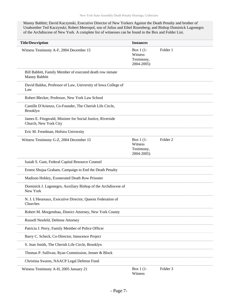Manny Babbitt; David Kaczynski, Executive Director of New Yorkers Against the Death Penalty and brother of Unabomber Ted Kaczynski; Robert Meeropol, son of Julius and Ethel Rosenberg; and Bishop Dominick Lagonegro of the Archdiocese of New York. A complete list of witnesses can be found in the Box and Folder List.

| <b>Title/Description</b>                                                             | <b>Instances</b>                                  |                     |  |
|--------------------------------------------------------------------------------------|---------------------------------------------------|---------------------|--|
| Witness Testimony A-F, 2004 December 15                                              | Box $1(1-$<br>Witness<br>Testimony,<br>2004-2005) | Folder 1            |  |
| Bill Babbitt, Family Member of executed death row inmate<br>Manny Babbitt            |                                                   |                     |  |
| David Baldus, Professor of Law, University of Iowa College of<br>Law                 |                                                   |                     |  |
| Robert Blecker, Professor, New York Law School                                       |                                                   |                     |  |
| Camille D'Arienzo, Co-Founder, The Cherish Life Circle,<br><b>Brooklyn</b>           |                                                   |                     |  |
| James E. Fitzgerald, Minister for Social Justice, Riverside<br>Church, New York City |                                                   |                     |  |
| Eric M. Freedman, Hofstra University                                                 |                                                   |                     |  |
| Witness Testimony G-Z, 2004 December 15                                              | Box $1(1-$<br>Witness<br>Testimony,<br>2004-2005) | Folder <sub>2</sub> |  |
| Isaiah S. Gant, Federal Capital Resource Counsel                                     |                                                   |                     |  |
| Ernest Shujaa Graham, Campaign to End the Death Penalty                              |                                                   |                     |  |
| Madison Hobley, Exonerated Death Row Prisoner                                        |                                                   |                     |  |
| Dominick J. Lagonegro, Auxiliary Bishop of the Archdiocese of<br>New York            |                                                   |                     |  |
| N. J. L'Heureaux, Executive Director, Queens Federation of<br>Churches               |                                                   |                     |  |
| Robert M. Morgenthau, District Attorney, New York County                             |                                                   |                     |  |
| Russell Neufeld, Defense Attorney                                                    |                                                   |                     |  |
| Patricia J. Perry, Family Member of Police Officer                                   |                                                   |                     |  |
| Barry C. Scheck, Co-Director, Innocence Project                                      |                                                   |                     |  |
| S. Jean Smith, The Cherish Life Circle, Brooklyn                                     |                                                   |                     |  |
| Thomas P. Sullivan, Ryan Commission, Jenner & Block                                  |                                                   |                     |  |
| Christina Swarns, NAACP Legal Defense Fund                                           |                                                   |                     |  |
| Witness Testimony A-H, 2005 January 21                                               | Box 1 (1-<br>Witness                              | Folder 3            |  |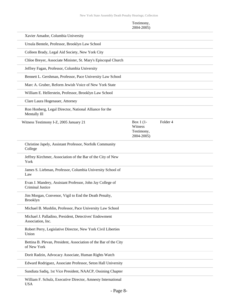#### Testimony, 2004-2005)

| Xavier Amador, Columbia University                                                   |                                                    |          |  |
|--------------------------------------------------------------------------------------|----------------------------------------------------|----------|--|
| Ursula Bentele, Professor, Brooklyn Law School                                       |                                                    |          |  |
| Colleen Brady, Legal Aid Society, New York City                                      |                                                    |          |  |
| Chloe Breyer, Associate Minister, St. Mary's Episcopal Church                        |                                                    |          |  |
| Jeffrey Fagan, Professor, Columbia University                                        |                                                    |          |  |
| Bennett L. Gershman, Professor, Pace University Law School                           |                                                    |          |  |
| Marc A. Gruber, Reform Jewish Voice of New York State                                |                                                    |          |  |
| William E. Hellerstein, Professor, Brooklyn Law School                               |                                                    |          |  |
| Clare Laura Hogenauer, Attorney                                                      |                                                    |          |  |
| Ron Honberg, Legal Director, National Alliance for the<br>Mentally Ill               |                                                    |          |  |
| Witness Testimony I-Z, 2005 January 21                                               | Box $1(1$ -<br>Witness<br>Testimony,<br>2004-2005) | Folder 4 |  |
| Christine Japely, Assistant Professor, Norfolk Community<br>College                  |                                                    |          |  |
| Jeffrey Kirchmer, Association of the Bar of the City of New<br>York                  |                                                    |          |  |
| James S. Liebman, Professor, Columbia University School of<br>Law                    |                                                    |          |  |
| Evan J. Mandery, Assistant Professor, John Jay College of<br><b>Criminal Justice</b> |                                                    |          |  |
| Jim Morgan, Convenor, Vigil to End the Death Penalty,<br>Brooklyn                    |                                                    |          |  |
| Michael B. Mushlin, Professor, Pace University Law School                            |                                                    |          |  |
| Michael J. Palladino, President, Detectives' Endowment<br>Association, Inc.          |                                                    |          |  |
| Robert Perry, Legislative Director, New York Civil Liberties<br>Union                |                                                    |          |  |
| Bettina B. Plevan, President, Association of the Bar of the City<br>of New York      |                                                    |          |  |
| Dorit Radzin, Advocacy Associate, Human Rights Watch                                 |                                                    |          |  |
| Edward Rodriguez, Associate Professor, Seton Hall University                         |                                                    |          |  |
| Sundiata Sadiq, 1st Vice President, NAACP, Ossining Chapter                          |                                                    |          |  |
| William F. Schulz, Executive Director, Amnesty International                         |                                                    |          |  |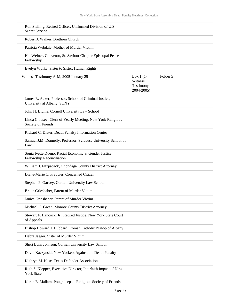| Ron Stalling, Retired Officer, Uniformed Division of U.S.<br>Secret Service          |                                                    |          |  |
|--------------------------------------------------------------------------------------|----------------------------------------------------|----------|--|
| Robert J. Walker, Brethren Church                                                    |                                                    |          |  |
| Patricia Webdale, Mother of Murder Victim                                            |                                                    |          |  |
| Hal Weiner, Convenor, St. Saviour Chapter Episcopal Peace<br>Fellowship              |                                                    |          |  |
| Evelyn Wyfka, Sister to Sister, Human Rights                                         |                                                    |          |  |
| Witness Testimony A-M, 2005 January 25                                               | Box $1(1$ -<br>Witness<br>Testimony,<br>2004-2005) | Folder 5 |  |
| James R. Acker, Professor, School of Criminal Justice,<br>University at Albany, SUNY |                                                    |          |  |
| John H. Blume, Cornell University Law School                                         |                                                    |          |  |
| Linda Chidsey, Clerk of Yearly Meeting, New York Religious<br>Society of Friends     |                                                    |          |  |
| Richard C. Dieter, Death Penalty Information Center                                  |                                                    |          |  |
| Samuel J.M. Donnelly, Professor, Syracuse University School of<br>Law                |                                                    |          |  |
| Sonia Ivette Dueno, Racial Economic & Gender Justice<br>Fellowship Reconciliation    |                                                    |          |  |
| William J. Fitzpatrick, Onondaga County District Attorney                            |                                                    |          |  |
| Diane-Marie C. Frappier, Concerned Citizen                                           |                                                    |          |  |
| Stephen P. Garvey, Cornell University Law School                                     |                                                    |          |  |
| Bruce Grieshaber, Parent of Murder Victim                                            |                                                    |          |  |
| Janice Grieshaber, Parent of Murder Victim                                           |                                                    |          |  |
| Michael C. Green, Monroe County District Attorney                                    |                                                    |          |  |
| Stewart F. Hancock, Jr., Retired Justice, New York State Court<br>of Appeals         |                                                    |          |  |
| Bishop Howard J. Hubbard, Roman Catholic Bishop of Albany                            |                                                    |          |  |
| Debra Jaeger, Sister of Murder Victim                                                |                                                    |          |  |
| Sheri Lynn Johnson, Cornell University Law School                                    |                                                    |          |  |
| David Kaczynski, New Yorkers Against the Death Penalty                               |                                                    |          |  |
| Kathryn M. Kase, Texas Defender Association                                          |                                                    |          |  |
| Ruth S. Klepper, Executive Director, Interfaith Impact of New<br><b>York State</b>   |                                                    |          |  |

Karen E. Mallam, Poughkeepsie Religious Society of Friends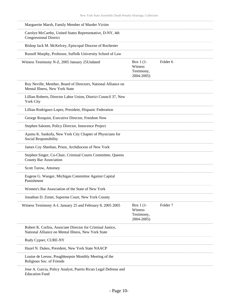| Marguerite Marsh, Family Member of Murder Victim                                                                   |                                                  |                     |  |
|--------------------------------------------------------------------------------------------------------------------|--------------------------------------------------|---------------------|--|
| Carolyn McCarthy, United States Representative, D-NY, 4th<br><b>Congressional District</b>                         |                                                  |                     |  |
| Bishop Jack M. McKelvey, Episcopal Diocese of Rochester                                                            |                                                  |                     |  |
| Russell Murphy, Professor, Suffolk University School of Law                                                        |                                                  |                     |  |
| Witness Testimony N-Z, 2005 January 25 Undated                                                                     | Box 1 (1-<br>Witness<br>Testimony,<br>2004-2005) | Folder <sub>6</sub> |  |
| Roy Neville, Member, Board of Directors, National Alliance on<br>Mental Illness, New York State                    |                                                  |                     |  |
| Lillian Roberts, Director Labor Union, District Council 37, New<br><b>York City</b>                                |                                                  |                     |  |
| Lillian Rodriguez-Lopez, President, Hispanic Federation                                                            |                                                  |                     |  |
| George Rosquist, Executive Director, Freedom Now                                                                   |                                                  |                     |  |
| Stephen Saloom, Policy Director, Innocence Project                                                                 |                                                  |                     |  |
| Ajamu K. Sankofa, New York City Chapter of Physicians for<br>Social Responsibility                                 |                                                  |                     |  |
| James Coy Sheehan, Priest, Archdiocese of New York                                                                 |                                                  |                     |  |
| Stephen Singer, Co-Chair, Criminal Courts Committee, Queens<br>County Bar Association                              |                                                  |                     |  |
| Scott Turow, Attorney                                                                                              |                                                  |                     |  |
| Eugene G. Wanger, Michigan Committee Against Capital<br>Punishment                                                 |                                                  |                     |  |
| Women's Bar Association of the State of New York                                                                   |                                                  |                     |  |
| Jonathan D. Zimet, Supreme Court, New York County                                                                  |                                                  |                     |  |
| Witness Testimony A-L January 25 and February 8, 2005 2005                                                         | Box 1 (1-<br>Witness<br>Testimony,<br>2004-2005) | Folder <sub>7</sub> |  |
| Robert K. Corliss, Associate Director for Criminal Justice,<br>National Alliance on Mental Illness, New York State |                                                  |                     |  |
| Rudy Cypser, CURE-NY                                                                                               |                                                  |                     |  |
| Hazel N. Dukes, President, New York State NAACP                                                                    |                                                  |                     |  |
| Louise de Leeuw, Poughkeepsie Monthly Meeting of the<br>Religious Soc. of Friends                                  |                                                  |                     |  |
| Jose A. Garcia, Policy Analyst, Puerto Rican Legal Defense and<br><b>Education Fund</b>                            |                                                  |                     |  |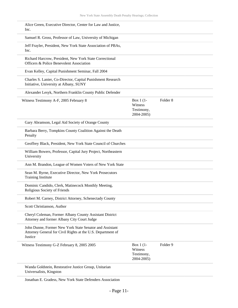| Alice Green, Executive Director, Center for Law and Justice,<br>Inc.                                                              |                                                  |                     |
|-----------------------------------------------------------------------------------------------------------------------------------|--------------------------------------------------|---------------------|
| Samuel R. Gross, Professor of Law, University of Michigan                                                                         |                                                  |                     |
| Jeff Frayler, President, New York State Association of PBAs,<br>Inc.                                                              |                                                  |                     |
| Richard Harcrow, President, New York State Correctional<br>Officers & Police Benevolent Association                               |                                                  |                     |
| Evan Kelley, Capital Punishment Seminar, Fall 2004                                                                                |                                                  |                     |
| Charles S. Lanier, Co-Director, Capital Punishment Research<br>Initiative, University at Albany, SUNY                             |                                                  |                     |
| Alexander Lesyk, Northern Franklin County Public Defender                                                                         |                                                  |                     |
| Witness Testimony A-F, 2005 February 8                                                                                            | Box 1 (1-<br>Witness<br>Testimony,<br>2004-2005) | Folder <sub>8</sub> |
| Gary Abramson, Legal Aid Society of Orange County                                                                                 |                                                  |                     |
| Barbara Berry, Tompkins County Coalition Against the Death<br>Penalty                                                             |                                                  |                     |
| Geoffrey Black, President, New York State Council of Churches                                                                     |                                                  |                     |
| William Bowers, Professor, Capital Jury Project, Northeastern<br>University                                                       |                                                  |                     |
| Ann M. Brandon, League of Women Voters of New York State                                                                          |                                                  |                     |
| Sean M. Byrne, Executive Director, New York Prosecutors<br><b>Training Institute</b>                                              |                                                  |                     |
| Dominic Candido, Clerk, Matinecock Monthly Meeting,<br>Religious Society of Friends                                               |                                                  |                     |
| Robert M. Carney, District Attorney, Schenectady County                                                                           |                                                  |                     |
| Scott Christianson, Author                                                                                                        |                                                  |                     |
| Cheryl Coleman, Former Albany County Assistant District<br>Attorney and former Albany City Court Judge                            |                                                  |                     |
| John Dunne, Former New York State Senator and Assistant<br>Attorney General for Civil Rights at the U.S. Department of<br>Justice |                                                  |                     |
| Witness Testimony G-Z February 8, 2005 2005                                                                                       | Box 1 (1-<br>Witness<br>Testimony,<br>2004-2005) | Folder 9            |
| Wanda Goldstein, Restorative Justice Group, Unitarian<br>Universalists, Kingston                                                  |                                                  |                     |

Jonathan E. Gradess, New York State Defenders Association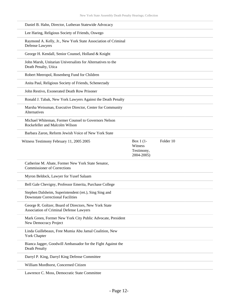| Daniel B. Hahn, Director, Lutheran Statewide Advocacy                                              |                                     |           |  |
|----------------------------------------------------------------------------------------------------|-------------------------------------|-----------|--|
| Lee Haring, Religious Society of Friends, Oswego                                                   |                                     |           |  |
| Raymond A. Kelly, Jr., New York State Association of Criminal<br><b>Defense Lawyers</b>            |                                     |           |  |
| George H. Kendall, Senior Counsel, Holland & Knight                                                |                                     |           |  |
| John Marsh, Unitarian Universalists for Alternatives to the<br>Death Penalty, Utica                |                                     |           |  |
| Robert Meeropol, Rosenberg Fund for Children                                                       |                                     |           |  |
| Anita Paul, Religious Society of Friends, Schenectady                                              |                                     |           |  |
| John Restivo, Exonerated Death Row Prisoner                                                        |                                     |           |  |
| Ronald J. Tabak, New York Lawyers Against the Death Penalty                                        |                                     |           |  |
| Marsha Weissman, Executive Director, Center for Community<br>Alternatives                          |                                     |           |  |
| Michael Whiteman, Former Counsel to Governors Nelson<br>Rockefeller and Malcolm Wilson             |                                     |           |  |
| Barbara Zaron, Reform Jewish Voice of New York State                                               |                                     |           |  |
| Witness Testimony February 11, 2005 2005                                                           | Box $1(1$ -                         | Folder 10 |  |
|                                                                                                    | Witness<br>Testimony,<br>2004-2005) |           |  |
| Catherine M. Abate, Former New York State Senator,<br><b>Commissioner of Corrections</b>           |                                     |           |  |
| Myron Beldock, Lawyer for Yusef Salaam                                                             |                                     |           |  |
| Bell Gale Chevigny, Professor Emerita, Purchase College                                            |                                     |           |  |
| Stephen Dalsheim, Superintendent (ret.), Sing Sing and<br><b>Downstate Correctional Facilities</b> |                                     |           |  |
| George R. Goltzer, Board of Directors, New York State<br>Association of Criminal Defense Lawyers   |                                     |           |  |
| Mark Green, Former New York City Public Advocate, President<br>New Democracy Project               |                                     |           |  |
| Linda Guillebeaux, Free Mumia Abu Jamal Coalition, New<br>York Chapter                             |                                     |           |  |
| Bianca Jagger, Goodwill Ambassador for the Fight Against the<br>Death Penalty                      |                                     |           |  |
| Darryl P. King, Darryl King Defense Committee                                                      |                                     |           |  |
| William Mordhorst, Concerned Citizen                                                               |                                     |           |  |

Lawrence C. Moss, Democratic State Committee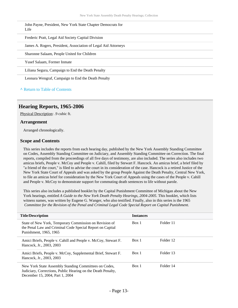John Payne, President, New York State Chapter Democrats for Life

Frederic Pratt, Legal Aid Society Capital Division

James A. Rogers, President, Association of Legal Aid Attorneys

Sharonne Salaam, People United for Children

Yusef Salaam, Former Inmate

Liliana Segura, Campaign to End the Death Penalty

Leonara Wengraf, Campaign to End the Death Penalty

#### **^** [Return to Table of Contents](#page-1-0)

#### <span id="page-12-0"></span>**Hearing Reports, 1965-2006**

Physical Description: .9 cubic ft.

#### **Arrangement**

Arranged chronologically.

#### **Scope and Contents**

This series includes the reports from each hearing day, published by the New York Assembly Standing Committee on Codes, Assembly Standing Committee on Judiciary, and Assembly Standing Committee on Correction. The final reports, compiled from the proceedings of all five days of testimony, are also included. The series also includes two amicus briefs, People v. McCoy and People v. Cahill, filed by Stewart F. Hancock. An amicus brief, a brief filed by "a friend of the court," is filed to advise the court in its consideration of the case. Hancock is a retired Justice of the New York State Court of Appeals and was asked by the group People Against the Death Penalty, Central New York, to file an amicus brief for consideration by the New York Court of Appeals using the cases of the People v. Cahill and People v. McCoy to demonstrate support for commuting death sentences to life without parole.

This series also includes a published booklet by the Capital Punishment Committee of Michigan about the New York hearings, entitled *A Guide to the New York Death Penalty Hearings, 2004-2005*. This booklet, which lists witness names, was written by Eugene G. Wanger, who also testified. Finally, also in this series is the 1965  *Committee for the Revision of the Penal and Criminal Legal Code Special Report on Capital Punishment*.

| <b>Title/Description</b>                                                                                                                                 | <b>Instances</b> |           |
|----------------------------------------------------------------------------------------------------------------------------------------------------------|------------------|-----------|
| State of New York, Temporary Commission on Revision of<br>the Penal Law and Criminal Code Special Report on Capital<br>Punishment, 1965, 1965            | Box 1            | Folder 11 |
| Amici Briefs, People v. Cahill and People v. McCoy, Stewart F.<br>Hancock, Jr., 2003, 2003                                                               | Box 1            | Folder 12 |
| Amici Briefs, People v. McCoy, Supplemental Brief, Stewart F.<br>Hancock, Jr., 2003, 2003                                                                | Box 1            | Folder 13 |
| New York State Assembly Standing Committees on Codes,<br>Judiciary, Corrections, Public Hearing on the Death Penalty,<br>December 15, 2004, Part 1, 2004 | Box 1            | Folder 14 |